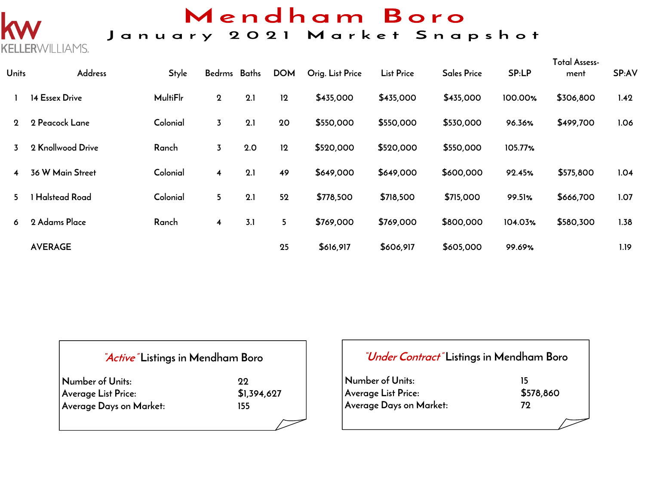

## Mendham Boro

## January 2021 Market Snapshot

| <b>Units</b>   | Address              | <b>Style</b>    | Bedrms Baths            |     | <b>DOM</b> | Orig. List Price | <b>List Price</b> | <b>Sales Price</b> | SP:LP   | Total Assess-<br>ment | SP:AV |
|----------------|----------------------|-----------------|-------------------------|-----|------------|------------------|-------------------|--------------------|---------|-----------------------|-------|
|                | 14 Essex Drive       | <b>MultiFlr</b> | $\mathbf 2$             | 2.1 | 12         | \$435,000        | \$435,000         | \$435,000          | 100.00% | \$306,800             | 1.42  |
| $\mathbf{2}$   | 2 Peacock Lane       | Colonial        | $\overline{3}$          | 2.1 | 20         | \$550,000        | \$550,000         | \$530,000          | 96.36%  | \$499,700             | 1.06  |
| 3              | 2 Knollwood Drive    | Ranch           | 3                       | 2.0 | 12         | \$520,000        | \$520,000         | \$550,000          | 105.77% |                       |       |
| $\overline{4}$ | 36 W Main Street     | Colonial        | $\overline{\mathbf{4}}$ | 2.1 | 49         | \$649,000        | \$649,000         | \$600,000          | 92.45%  | \$575,800             | 1.04  |
| 5.             | <b>Halstead Road</b> | Colonial        | 5 <sup>5</sup>          | 2.1 | 52         | \$778,500        | \$718,500         | \$715,000          | 99.51%  | \$666,700             | 1.07  |
| 6              | 2 Adams Place        | Ranch           | 4                       | 3.1 | 5          | \$769,000        | \$769,000         | \$800,000          | 104.03% | \$580,300             | 1.38  |
|                | <b>AVERAGE</b>       |                 |                         |     | 25         | \$616,917        | \$606,917         | \$605,000          | 99.69%  |                       | 1.19  |

#### **"Active" Listings in Mendham Boro**

| Number of Units:        | -99.        |
|-------------------------|-------------|
| Average List Price:     | \$1,394,627 |
| Average Days on Market: | 155.        |

#### **"Under Contract" Listings in Mendham Boro**

**Number of Units:** 15<br>Average List Price: 15578,860 **Average List Price: Average Days on Market: 72**